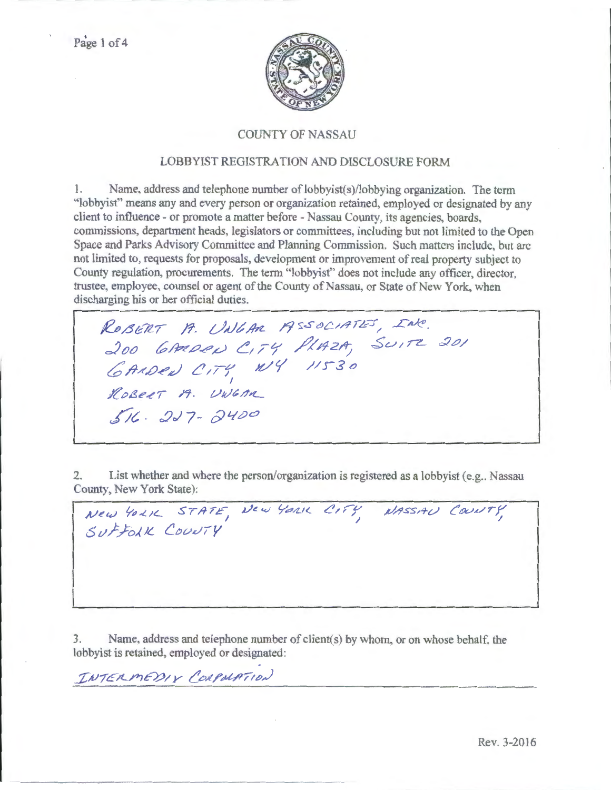

### COUNTY OF NASSAU

#### LOBBYIST REGISTRATION AND DISCLOSURE FORM

1. Name. address and telephone number of lobbyist(s)/lobbying organization. The tenn "lobbyist'' means any and every person or organization retained, employed or designated by any client to influence- or promote a matter before- Nassau County, its agencies, boards, commissions, department heads, legislators or committees, including but not limited to the Open Space and Parks Advisory Committee and Planning Commission. Such matters include, but arc not limited to, requests for proposals, development or improvement of real property subject to County regulation, procurements. The term 'lobbyist" does not include any officer, director, trustee, employee, counsel or agent of the County of Nassau, or State of New York, when discharging his or her official duties.

ROBERT A. UNGAR ASSOCIATES, INC. 200 *bARDEN CITY PLAZA, SUITE 201*  $6$ ANDEN CITY NVY 11530 I  $ROBEET$  A. UWGAN *fit ·* :Jo/7- OJ'-!oo

2. List whether and where the person/organization is registered as a lobbyist (e.g., Nassau County, New York State):

 $New$  4021 STATE, SUFFOLK COUNTY

3. Name, address and telephone number of client(s) by whom, or on whose behalf, the lobbyist is retained, employed or designated:

 $I \cup T \in \mathcal{P}$ MEDIX CORPOLATION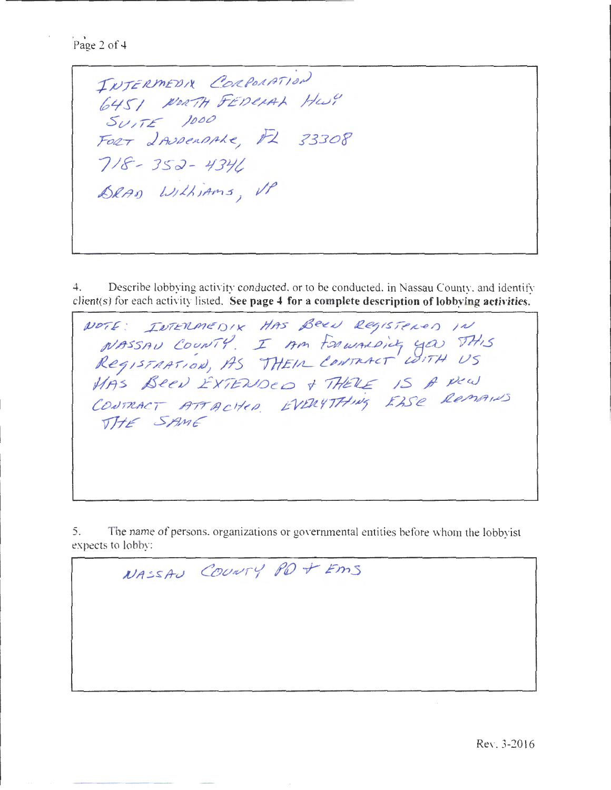Page 2 of 4

INTERMEDIX CORPORATION 6451 NORTH FEDERAL HWY SUITE 1000<br>FORT IAUDERAAKE, FL 33308  $718 - 352 - 4341$ DRAD Withiams, VP

Describe lobbying activity conducted, or to be conducted, in Nassau County, and identify  $4.$ client(s) for each activity listed. See page 4 for a complete description of lobbying activities.

NOTE: INTERMEDIX HAS BEEN REGISTENED IN NASSAU COUNTY. I AM FORWALDING YOU THIS<br>REGISTRATION, AS THEIR CONTRACT WITH US MAS BEEN EXTENDED & THERE IS A New CONTRACT ATTACHED EVERYTHING EASE REMAINS THE SAME

The name of persons, organizations or governmental entities before whom the lobbyist 5. expects to lobby:

NASSAU COUNTY PO + EMS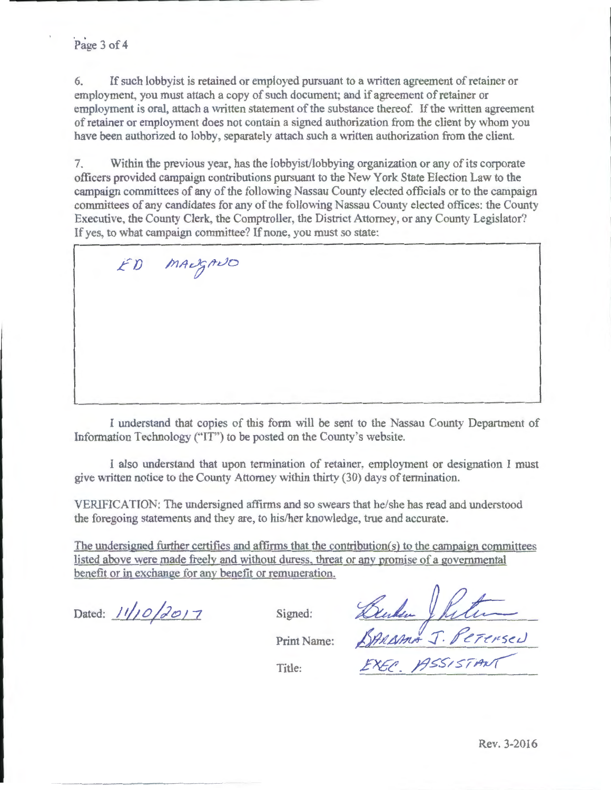## Page 3 of 4

6. If such lobbyist is retained or employed pursuant to a written agreement of retainer or employment, you must attach a copy of such document; and if agreement of retainer or employment is oral, attach a written statement of the substance thereof. If the written agreement of retainer or employment does not contain a signed authorization from the client by whom you have been authorized to lobby. separately attach such a written authorization from the client.

7. Within the previous year, has the lobbyist/lobbying organization or any of its corporate officers provided campaign contributions pursuant to the New York State Election Law to the campaign committees of any of the following Nassau County elected officials or to the campaign committees of any candidates for any of the following Nassau County elected offices: the County Executive, the County Clerk, the Comptroller, the District Attorney, or any County Legislator? If yes, to what campaign committee? If none, you must so state:

ED MALJANO

I understand that copies of tbis form will be sent to the Nassau County Department of Information Technology ("IT") to be posted on the County's website.

I also understand that upon termination of retainer, employment or designation I must give written notice to the County Attorney witbin thirty (30) days of termination.

VERIFICATION: The undersigned affirms and so swears that be/she has read and understood the foregoing statements and they are, to his/her knowledge, true and accurate.

The undersigned further certifies and affirms that the contribution(s) to the campaign committees listed above were made freely and without duress. threat or any promise of a governmental benefit or in exchange for any benefit or remuneration.

Dated:  $11/10/2017$ 

change for any benefit or remuneration.<br> $\sqrt{2017}$  Signed: *Blude* Julian Print Name: SARASMA J. PETERSED Title: *EXEC*, PISSISTANT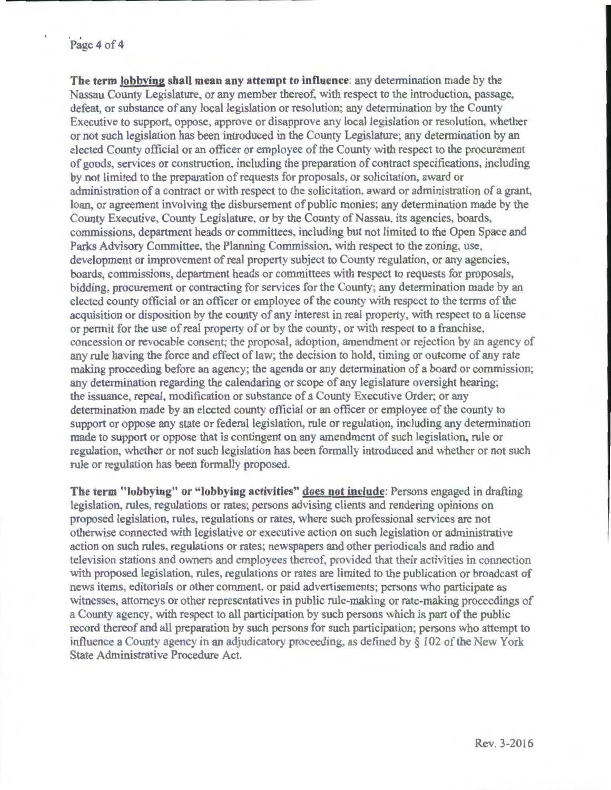#### Page 4 of 4

**The term lobbying shall mean any attempt to influence:** any determination made by the Nassau County Legislature, or any member thereof, with respect to the introduction, passage, defeat, or substance of any local legislation or resolution; any determination by the County Executive to support, oppose, approve or disapprove any local legislation or resolution, whether or not such legislation has been introduced in the County Legislature; any detennination by an elected County official or an officer or employee of the County with respect to the procurement of goods, services or construction, including the preparation of contract specifications, including by not limited to the preparation of requests for proposals, or solicitation, award or administration of a contract or with respect to the solicitation, award or administration of a grant, loan, or agreement involving the disbursement of public monies; any determination made by the County Executive County Legislature, or by the County of Nassau, its agencies, boards, commissions, department heads or committees, including but not limited to the Open Space and Parks Advisory Committee, the Planning Commission, with respect to the zoning, use, development or improvement of real property subject to County regulation, or any agencies, boards, commissions, department heads or committees with respect to requests for proposals, bidding, procurement or contracting for services for the County; any determination made by an elected county official or an officer or employee of the county with respect to the terms of the acquisition or disposition by the county of any interest in real property with respect to a license or permit for the use of real property of or by the county, or with respect to a franchise, concession or revocable consent; the proposal, adoption, amendment or rejection by an agency of any rule having the force and effect of law; the decision to hold, timing or outcome of any rate making proceeding before an agency; the agenda or any determination of a board or commission; any determination regarding the calendaring or scope of any legislature oversight hearing; the issuance. repeal, modification or substance of a County Executive Order; or any determination made by an elected county official or an officer or employee of the county to support or oppose any state or federal legislation, rule or regulation, including any determination made to support or oppose that is contingent on any amendment of such legislation, rule or regulation, whether or not such legislation has been formally introduced and whether or not such rule or regulation has been formally proposed.

**The term "lobbying" or "lobbying activities" does not include:** Persons engaged in drafting legislation, rules, regulations or rates; persons advising clients and rendering opinions on proposed legislation, rules, regulations or rates, where such professional services are not otherwise connected with legislative or executive action on such legislation or administrative action on such rules, regulations or rates; newspapers and other periodicals and radio and television stations and owners and employees thereof, provided that their activities in connection with proposed legislation, rules, regulations or rates are limited to the publication or broadcast of news items, editorials or other comment, or paid advertisements; persons who participate as witnesses. attorneys or other representatives in public rule-making or rate-making proceedings of a County agency, with respect to all participation by such persons which is part of the public record thereof and all preparation by such persons for such participation; persons who attempt to influence a County agency in an adjudicatory proceeding, as defmed by *§* 102 of the New York State Administrative Procedure Act.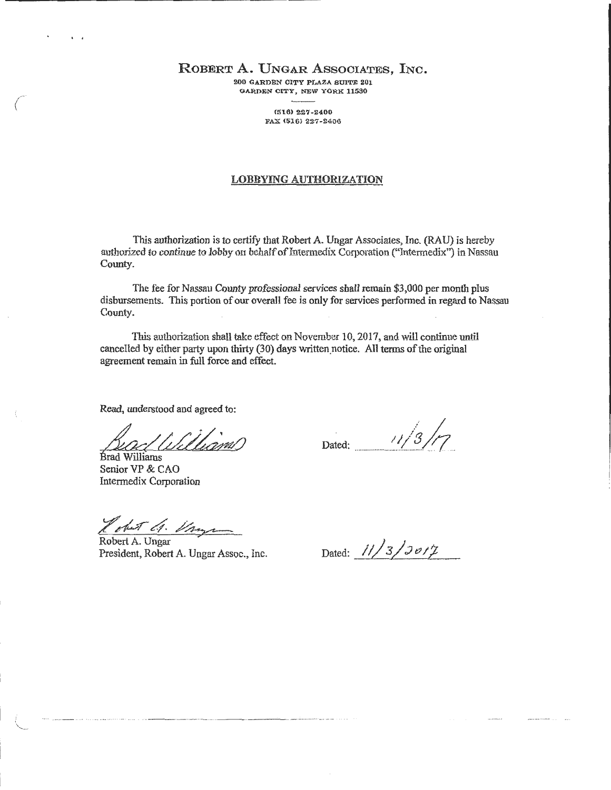ROBERT A. UNGAR ASSOCIATES, INC.

200 GARDEN CITY PLAZA SUITE 201 GARDEN CITY, NEW YORK 11580

> (516) 227-2400 FAX (516) 227-2400

#### LOBBYING AUTHORIZATION

This authorization is to certify that Robert A. Ungar Associates, Inc. (RA U) is hereby authorized to continue to lobby on behalf of Intermedix Corporation ("Intermedix") in Nassau County.

The fee for Nassau County professional services shall remain \$3,000 per month plus disbursements. This portion of our overall fee is only for services performed in regard to Nassau County.

This authorization shall take effect on November 10, 2017, and will continue until cancelled by either party upon thirty (30) days written.notice. All terms of the original agreement remain in full force and effect.

Read, understood and agreed to:

BradWilliams Bead Williams

Senior VP & CAO Intermedix Corporation

 $\langle$ 

 $\setminus$ 

Lobut 1. Ving

Robert A. Ungar President, Robert A. Ungar Assoc., Inc.

Dated: 11/3 /**1** 

Dated: 11/3/2*017*